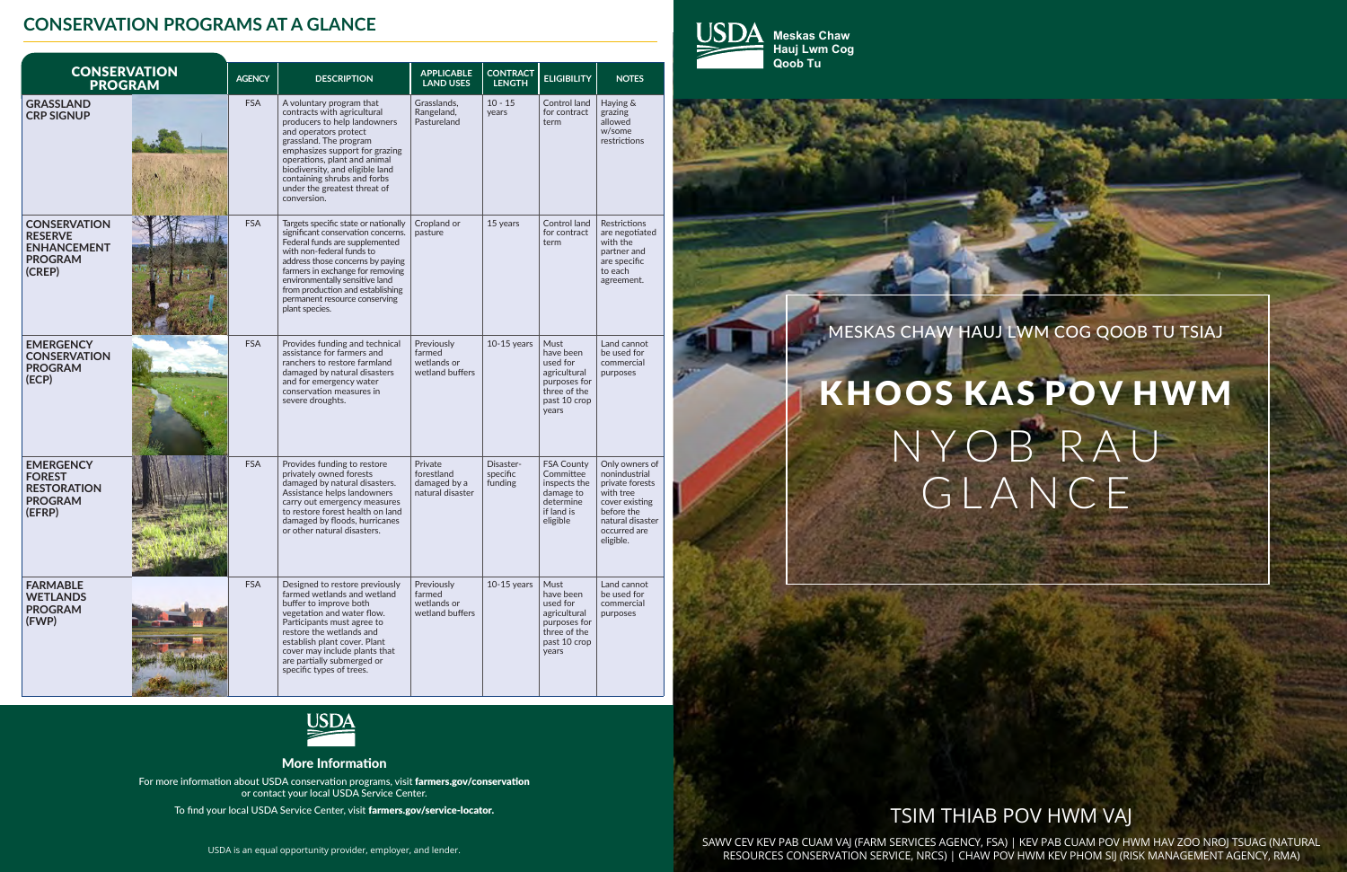

MESKAS CHAW HAUJ LWM COG QOOB TU TSIAJ

# N Y OB RAU GLANCE KHOOS KAS POV HWM

### TSIM THIAB POV HWM VAJ

SAWV CEV KEV PAB CUAM VAJ (FARM SERVICES AGENCY, FSA) | KEV PAB CUAM POV HWM HAV ZOO NROJ TSUAG (NATURAL RESOURCES CONSERVATION SERVICE, NRCS) | CHAW POV HWM KEV PHOM SIJ (RISK MANAGEMENT AGENCY, RMA)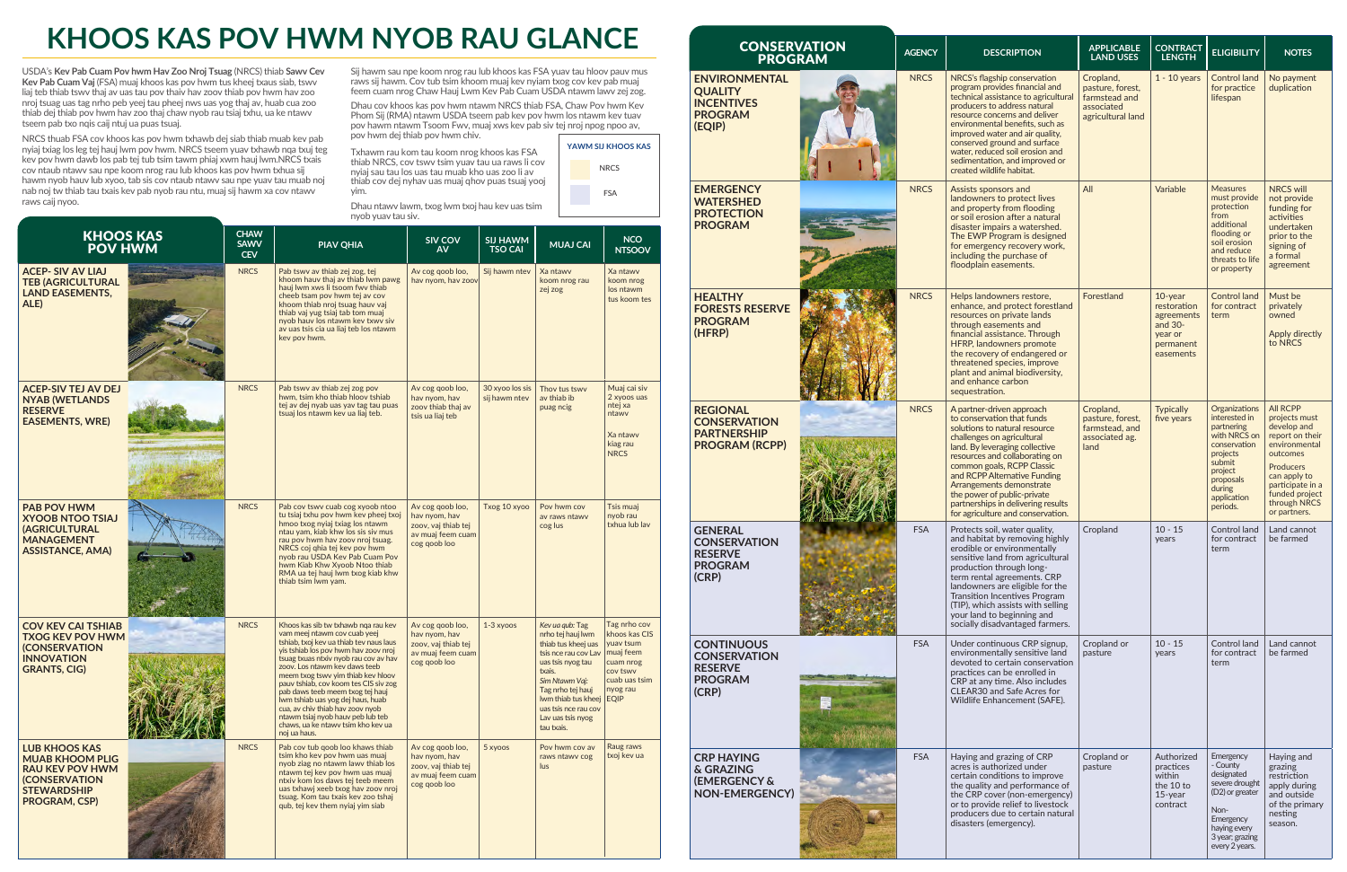## **KHOOS KAS POV HWM NYOB RAU GLANCE**

yim.

USDA's **Kev Pab Cuam Pov hwm Hav Zoo Nroj Tsuag** (NRCS) thiab **Sawv Cev Kev Pab Cuam Vaj** (FSA) muaj khoos kas pov hwm tus kheej txaus siab, tswv liaj teb thiab tswv thaj av uas tau pov thaiv hav zoov thiab pov hwm hav zoo nroj tsuag uas tag nrho peb yeej tau pheej nws uas yog thaj av, huab cua zoo thiab dej thiab pov hwm hav zoo thaj chaw nyob rau tsiaj txhu, ua ke ntawv tseem pab txo nqis caij ntuj ua puas tsuaj.

NRCS thuab FSA cov khoos kas pov hwm txhawb dej siab thiab muab kev pab nyiaj txiag los leg tej hauj lwm pov hwm. NRCS tseem yuav txhawb nqa txuj teg kev pov hwm dawb los pab tej tub tsim tawm phiaj xwm hauj lwm.NRCS txais cov ntaub ntawv sau npe koom nrog rau lub khoos kas pov hwm txhua sij hawm nyob hauv lub xyoo, tab sis cov ntaub ntawv sau npe yuav tau muab noj nab noj tw thiab tau txais kev pab nyob rau ntu, muaj sij hawm xa cov ntawv raws caij nyoo.

Sij hawm sau npe koom nrog rau lub khoos kas FSA yuav tau hloov pauv mus raws sij hawm. Cov tub tsim khoom muaj kev nyiam txog cov kev pab muaj feem cuam nrog Chaw Hauj Lwm Kev Pab Cuam USDA ntawm lawv zej zog.

Dhau cov khoos kas pov hwm ntawm NRCS thiab FSA, Chaw Pov hwm Kev Phom Sij (RMA) ntawm USDA tseem pab kev pov hwm los ntawm kev tuav pov hawm ntawm Tsoom Fwv, muaj xws kev pab siv tej nroj npog npoo av, pov hwm dej thiab pov hwm chiv.



Dhau ntawv lawm, txog lwm txoj hau kev uas tsim nyob yuav tau siv.

Txhawm rau kom tau koom nrog khoos kas FSA thiab NRCS, cov tswv tsim yuav tau ua raws li cov nyiaj sau tau los uas tau muab kho uas zoo li av thiab cov dej nyhav uas muaj qhov puas tsuaj yooj

| <b>KHOOS KAS</b><br><b>POV HWM</b>                                                                                                      | <b>CHAW</b><br><b>SAWV</b><br><b>CEV</b> | <b>PIAV QHIA</b>                                                                                                                                                                                                                                                                                                                                                                                                                                                                                                        | <b>SIV COV</b><br><b>AV</b>                                                                   | <b>SIJ HAWM</b><br><b>TSO CAI</b> | <b>MUAJ CAI</b>                                                                                                                                                                                                                             | <b>NCO</b><br><b>NTSOOV</b>                                                                                                  |
|-----------------------------------------------------------------------------------------------------------------------------------------|------------------------------------------|-------------------------------------------------------------------------------------------------------------------------------------------------------------------------------------------------------------------------------------------------------------------------------------------------------------------------------------------------------------------------------------------------------------------------------------------------------------------------------------------------------------------------|-----------------------------------------------------------------------------------------------|-----------------------------------|---------------------------------------------------------------------------------------------------------------------------------------------------------------------------------------------------------------------------------------------|------------------------------------------------------------------------------------------------------------------------------|
| <b>ACEP-SIV AV LIAJ</b><br><b>TEB (AGRICULTURAL</b><br><b>LAND EASEMENTS,</b><br>ALE)                                                   | <b>NRCS</b>                              | Pab tswy av thiab zej zog, tej<br>khoom hauv thaj av thiab lwm pawg<br>hauj Iwm xws li tsoom fwy thiab<br>cheeb tsam pov hwm tej av cov<br>khoom thiab nroj tsuag hauv vaj<br>thiab vaj yug tsiaj tab tom muaj<br>nyob hauv los ntawm kev txwv siv<br>av uas tsis cia ua liaj teb los ntawm<br>kev pov hwm.                                                                                                                                                                                                             | Av cog goob loo,<br>hav nyom, hav zoov                                                        | Sij hawm ntev                     | Xa ntawy<br>koom nrog rau<br>zej zog                                                                                                                                                                                                        | Xa ntawy<br>koom nrog<br>los ntawm<br>tus koom tes                                                                           |
| <b>ACEP-SIV TEJ AV DEJ</b><br><b>NYAB (WETLANDS</b><br><b>RESERVE</b><br><b>EASEMENTS, WRE)</b>                                         | <b>NRCS</b>                              | Pab tswy ay thiab zej zog pov<br>hwm, tsim kho thiab hloov tshiab<br>tej av dej nyab uas yav tag tau puas<br>tsuaj los ntawm kev ua liaj teb.                                                                                                                                                                                                                                                                                                                                                                           | Av cog goob loo,<br>hav nyom, hav<br>zoov thiab thaj av<br>tsis ua liaj teb                   | 30 xyoo los sis<br>sij hawm ntev  | Thov tus tswy<br>av thiab ib<br>puag ncig                                                                                                                                                                                                   | Muaj cai siv<br>2 xyoos uas<br>ntej xa<br>ntawv<br>Xa ntawy<br>kiag rau<br><b>NRCS</b>                                       |
| <b>PAB POV HWM</b><br><b>XYOOB NTOO TSIAJ</b><br><b>(AGRICULTURAL</b><br><b>MANAGEMENT</b><br><b>ASSISTANCE, AMA)</b>                   | <b>NRCS</b>                              | Pab cov tswy cuab cog xyoob ntoo<br>tu tsiaj txhu pov hwm kev pheej txoj<br>hmoo txog nyiaj txiag los ntawm<br>ntau yam, kiab khw los sis siv mus<br>rau pov hwm hav zoov nroj tsuag.<br>NRCS coj qhia tej kev pov hwm<br>nyob rau USDA Kev Pab Cuam Pov<br>hwm Kiab Khw Xyoob Ntoo thiab<br>RMA ua tej hauj lwm txog kiab khw<br>thiab tsim lwm yam.                                                                                                                                                                   | Av cog goob loo,<br>hav nyom, hav<br>zoov, vaj thiab tej<br>av muaj feem cuam<br>cog qoob loo | Txog 10 xyoo                      | Pov hwm cov<br>av raws ntawy<br>cog lus                                                                                                                                                                                                     | Tsis muaj<br>nyob rau<br>txhua lub lav                                                                                       |
| <b>COV KEV CAI TSHIAB</b><br><b>TXOG KEV POV HWM</b><br><b>(CONSERVATION</b><br><b>INNOVATION</b><br><b>GRANTS, CIG)</b>                | <b>NRCS</b>                              | Khoos kas sib tw txhawb nga rau kev<br>vam meej ntawm cov cuab yeej<br>tshiab, txoj kev ua thiab tev naus laus<br>yis tshiab los pov hwm hav zoov nroj<br>tsuag txuas ntxiv nyob rau cov av hav<br>zoov. Los ntawm kev daws teeb<br>meem txog tswy yim thiab key hloov<br>pauv tshiab, cov koom tes CIS siv zog<br>pab daws teeb meem txog tej hauj<br>Iwm tshiab uas yog dej haus, huab<br>cua, av chiv thiab hav zoov nyob<br>ntawm tsiaj nyob hauv peb lub teb<br>chaws, ua ke ntawy tsim kho key ua<br>noj ua haus. | Av cog goob loo,<br>hav nyom, hav<br>zoov, vaj thiab tej<br>av muaj feem cuam<br>cog goob loo | $1-3$ xyoos                       | Kev ua qub: Tag<br>nrho tej hauj lwm<br>thiab tus kheej uas<br>tsis nce rau cov Lav<br>uas tsis nyog tau<br>txais.<br>Sim Ntawm Vaj:<br>Tag nrho tej hauj<br>Iwm thiab tus kheei<br>uas tsis nce rau cov<br>Lav uas tsis nyog<br>tau txais. | Tag nrho cov<br>khoos kas CIS<br>yuav tsum<br>muaj feem<br>cuam nrog<br>cov tswy<br>cuab uas tsim<br>nyog rau<br><b>EQIP</b> |
| <b>LUB KHOOS KAS</b><br><b>MUAB KHOOM PLIG</b><br><b>RAU KEV POV HWM</b><br><b>(CONSERVATION</b><br><b>STEWARDSHIP</b><br>PROGRAM, CSP) | <b>NRCS</b>                              | Pab cov tub goob loo khaws thiab<br>tsim kho key pov hwm uas muaj<br>nyob ziag no ntawm lawy thiab los<br>ntawm tej kev pov hwm uas muaj<br>ntxiv kom los daws tej teeb meem<br>uas txhawj xeeb txog hav zoov nroj<br>tsuag. Kom tau txais key zoo tshai<br>qub, tej kev them nyiaj yim siab                                                                                                                                                                                                                            | Av cog goob loo,<br>hav nyom, hav<br>zoov, vaj thiab tej<br>av muaj feem cuam<br>cog goob loo | 5 xyoos                           | Pov hwm cov av<br>raws ntawy cog<br>lus                                                                                                                                                                                                     | Raug raws<br>txoj kev ua                                                                                                     |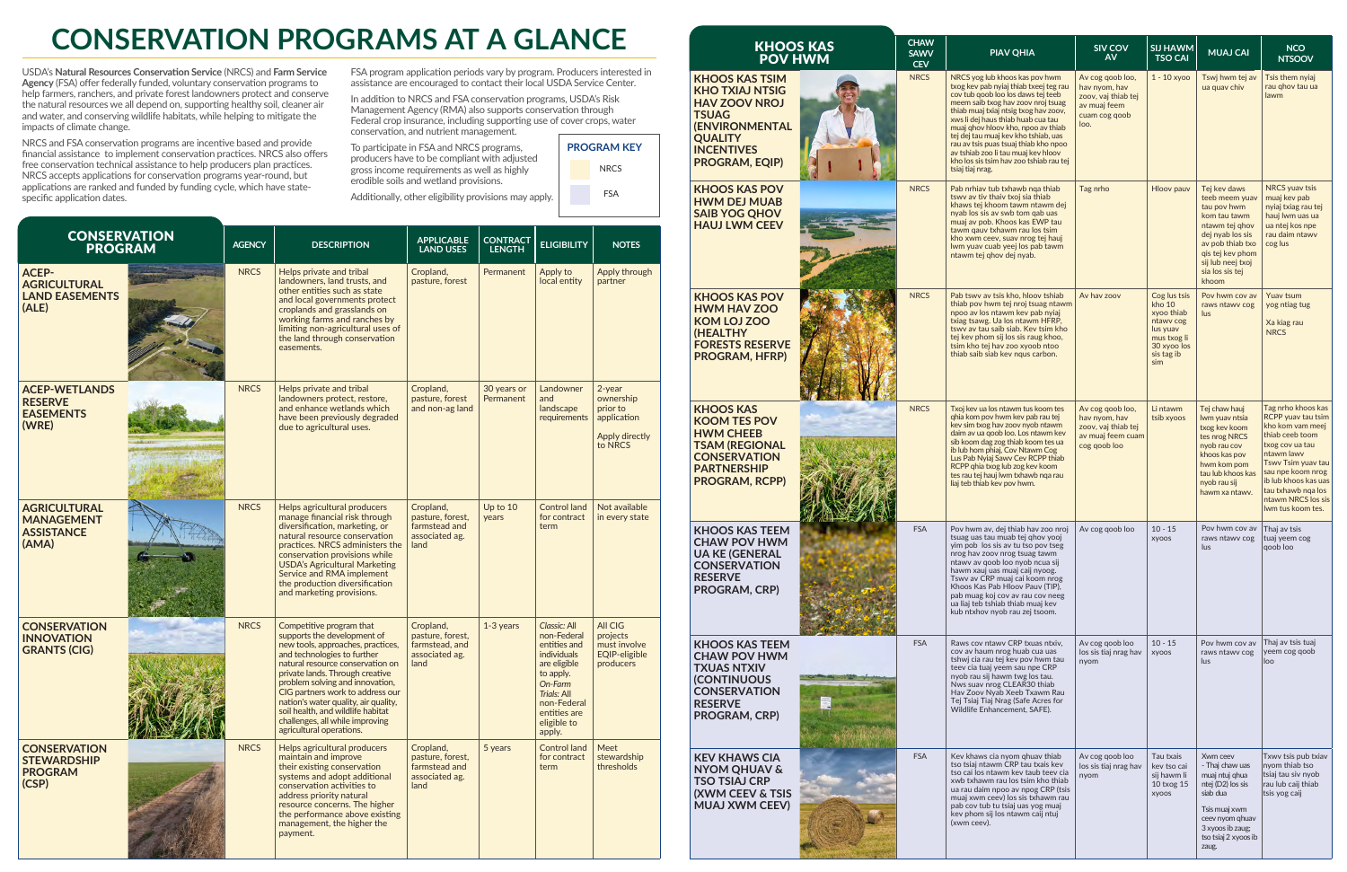| <b>KHOOS KAS</b><br><b>POV HWM</b>                                                                                                                                        | <b>CHAW</b><br><b>SAWV</b><br><b>CEV</b> | <b>PIAV QHIA</b>                                                                                                                                                                                                                                                                                                                                                                                                                                                 | SIV COV<br><b>AV</b>                                                                              | <b>SIJ HAWM</b><br><b>TSO CAI</b>                                                                                | <b>MUAJ CAI</b>                                                                                                                                                                              | <b>NCO</b><br><b>NTSOOV</b>                                                                                                                                                                                                                          |
|---------------------------------------------------------------------------------------------------------------------------------------------------------------------------|------------------------------------------|------------------------------------------------------------------------------------------------------------------------------------------------------------------------------------------------------------------------------------------------------------------------------------------------------------------------------------------------------------------------------------------------------------------------------------------------------------------|---------------------------------------------------------------------------------------------------|------------------------------------------------------------------------------------------------------------------|----------------------------------------------------------------------------------------------------------------------------------------------------------------------------------------------|------------------------------------------------------------------------------------------------------------------------------------------------------------------------------------------------------------------------------------------------------|
| <b>KHOOS KAS TSIM</b><br><b>KHO TXIAJ NTSIG</b><br><b>HAV ZOOV NROJ</b><br><b>TSUAG</b><br><b>(ENVIRONMENTAL</b><br><b>QUALITY</b><br><b>INCENTIVES</b><br>PROGRAM, EQIP) | <b>NRCS</b>                              | NRCS yog lub khoos kas pov hwm<br>txog key pab nyiaj thiab txeej teg rau<br>cov tub goob loo los daws tej teeb<br>meem saib txog hav zoov nroj tsuag<br>thiab muaj txiaj ntsig txog hav zoov,<br>xws li dej haus thiab huab cua tau<br>muaj ghov hloov kho, npoo av thiab<br>tej dej tau muaj kev kho tshiab, uas<br>rau av tsis puas tsuaj thiab kho npoo<br>av tshiab zoo li tau muaj kev hloov<br>kho los sis tsim hav zoo tshiab rau tej<br>tsiaj tiaj nrag. | Av cog goob loo,<br>hay nyom, hay<br>zoov, vaj thiab tej<br>av muaj feem<br>cuam cog goob<br>loo. | $1 - 10$ xyoo                                                                                                    | Tswj hwm tej av<br>ua quav chiv                                                                                                                                                              | Tsis them nyiaj<br>rau ghov tau ua<br>lawm                                                                                                                                                                                                           |
| <b>KHOOS KAS POV</b><br><b>HWM DEJ MUAB</b><br><b>SAIB YOG QHOV</b><br><b>HAUJ LWM CEEV</b>                                                                               | <b>NRCS</b>                              | Pab nrhiav tub txhawb nga thiab<br>tswy ay tiy thaiy txoj sia thiab<br>khaws tej khoom tawm ntawm dej<br>nyab los sis av swb tom gab uas<br>muaj av pob. Khoos kas EWP tau<br>tawm qauv txhawm rau los tsim<br>kho xwm ceev, suav nrog tej hauj<br>Iwm yuav cuab yeej los pab tawm<br>ntawm tej qhov dej nyab.                                                                                                                                                   | Tag nrho                                                                                          | Hloov pauv                                                                                                       | Tej kev daws<br>teeb meem yuav<br>tau pov hwm<br>kom tau tawm<br>ntawm tej ghov<br>dej nyab los sis<br>av pob thiab txo<br>gis tej kev phom<br>sij lub neej txoj<br>sia los sis tej<br>khoom | <b>NRCS</b> yuav tsis<br>muaj kev pab<br>nyiaj txiag rau tej<br>hauj lwm uas ua<br>ua ntej kos npe<br>rau daim ntawv<br>cog lus                                                                                                                      |
| <b>KHOOS KAS POV</b><br><b>HWM HAV ZOO</b><br><b>KOM LOJ ZOO</b><br>(HEALTHY<br><b>FORESTS RESERVE</b><br><b>PROGRAM, HFRP)</b>                                           | <b>NRCS</b>                              | Pab tswy av tsis kho, hloov tshiab<br>thiab pov hwm tej nroj tsuag ntawm<br>npoo av los ntawm kev pab nyiaj<br>txiag tsawg. Ua los ntawm HFRP.<br>tswy ay tau saib siab. Key tsim kho<br>tej key phom sij los sis raug khoo.<br>tsim kho tej hav zoo xyoob ntoo<br>thiab saib siab kev ngus carbon.                                                                                                                                                              | Av hav zoov                                                                                       | Cog lus tsis<br>kho 10<br>xvoo thiab<br>ntawy cog<br>lus yuav<br>mus txog li<br>30 xyoo los<br>sis tag ib<br>sim | Pov hwm cov av<br>raws ntawy cog<br>lus                                                                                                                                                      | Yuav tsum<br>yog ntiag tug<br>Xa kiag rau<br><b>NRCS</b>                                                                                                                                                                                             |
| <b>KHOOS KAS</b><br><b>KOOM TES POV</b><br><b>HWM CHEEB</b><br><b>TSAM (REGIONAL</b><br><b>CONSERVATION</b><br><b>PARTNERSHIP</b><br><b>PROGRAM, RCPP)</b>                | <b>NRCS</b>                              | Txoj kev ua los ntawm tus koom tes<br>ghia kom pov hwm kev pab rau tej<br>kev sim txog hav zoov nyob ntawm<br>daim av ua goob loo. Los ntawm kev<br>sib koom dag zog thiab koom tes ua<br>ib lub hom phiaj, Cov Ntawm Cog<br>Lus Pab Nyiaj Sawy Cev RCPP thiab<br>RCPP ghia txog lub zog kev koom<br>tes rau tej hauj lwm txhawb nga rau<br>liaj teb thiab kev pov hwm.                                                                                          | Av cog goob loo,<br>hav nyom, hav<br>zoov, vaj thiab tej<br>av muaj feem cuam<br>cog qoob loo     | Li ntawm<br>tsib xyoos                                                                                           | Tej chaw hauj<br>Iwm yuav ntsia<br>txog kev koom<br>tes nrog NRCS<br>nyob rau cov<br>khoos kas pov<br>hwm kom pom<br>tau lub khoos kas<br>nvob rau sii<br>hawm xa ntawy.                     | Tag nrho khoos kas<br>RCPP yuav tau tsim<br>kho kom vam meej<br>thiab ceeb toom<br>txog cov ua tau<br>ntawm lawy<br>Tswy Tsim yuav tau<br>sau npe koom nrog<br>ib lub khoos kas uas<br>tau txhawb nga los<br>ntawm NRCS los sis<br>Iwm tus koom tes. |
| <b>KHOOS KAS TEEM</b><br><b>CHAW POV HWM</b><br><b>UA KE (GENERAL</b><br><b>CONSERVATION</b><br><b>RESERVE</b><br>PROGRAM, CRP)                                           | <b>FSA</b>                               | Pov hwm av, dej thiab hav zoo nroj<br>tsuag uas tau muab tej qhov yooj<br>yim pob los sis av tu tso pov tseg<br>nrog hav zoov nrog tsuag tawm<br>ntawy ay qoob loo nyob ncua sij<br>hawm xauj uas muaj caij nyoog.<br>Tswv av CRP muaj cai koom nrog<br>Khoos Kas Pab Hloov Pauv (TIP),<br>pab muag koj cov av rau cov neeg<br>ua liaj teb tshiab thiab muaj kev<br>kub ntxhov nyob rau zej tsoom.                                                               | Av cog goob loo                                                                                   | $10 - 15$<br><b>XYOOS</b>                                                                                        | Pov hwm cov av<br>raws ntawy cog<br>lus                                                                                                                                                      | Thaj av tsis<br>tuaj yeem cog<br>qoob loo                                                                                                                                                                                                            |
| <b>KHOOS KAS TEEM</b><br><b>CHAW POV HWM</b><br><b>TXUAS NTXIV</b><br><b>(CONTINUOUS</b><br><b>CONSERVATION</b><br><b>RESERVE</b><br>PROGRAM, CRP)                        | <b>FSA</b>                               | Raws cov ntawy CRP txuas ntxiv,<br>cov av haum nrog huab cua uas<br>tshwj cia rau tej kev pov hwm tau<br>teev cia tuaj yeem sau npe CRP<br>nyob rau sij hawm twg los tau.<br>Nws suav nrog CLEAR30 thiab<br>Hav Zoov Nyab Xeeb Txawm Rau<br>Tej Tsiaj Tiaj Nrag (Safe Acres for<br>Wildlife Enhancement, SAFE).                                                                                                                                                  | Av cog goob loo<br>los sis tiaj nrag hav<br>nyom                                                  | $10 - 15$<br><b>XYOOS</b>                                                                                        | Pov hwm cov av<br>raws ntawy cog<br>lus                                                                                                                                                      | Thaj av tsis tuaj<br>yeem cog qoob<br>loo                                                                                                                                                                                                            |
| <b>KEV KHAWS CIA</b><br><b>NYOM QHUAV &amp;</b><br><b>TSO TSIAJ CRP</b><br><b>(XWM CEEV &amp; TSIS</b><br><b>MUAJ XWM CEEV)</b>                                           | <b>FSA</b>                               | Kev khaws cia nyom ghuav thiab<br>tso tsiaj ntawm CRP tau txais kev<br>tso cai los ntawm kev taub teev cia<br>xwb txhawm rau los tsim kho thiab<br>ua rau daim npoo av npog CRP (tsis<br>muaj xwm ceev) los sis txhawm rau<br>pab cov tub tu tsiaj uas yog muaj<br>kev phom sij los ntawm caij ntuj<br>(xwm ceev).                                                                                                                                               | Av cog goob loo<br>los sis tiaj nrag hav<br>nyom                                                  | Tau txais<br>kev tso cai<br>sij hawm li<br>10 txog 15<br><b>XYOOS</b>                                            | Xwm ceev<br>- Thaj chaw uas<br>muaj ntuj ghua<br>ntej (D2) los sis<br>siab dua<br>Tsis muaj xwm<br>ceev nyom ghuav<br>3 xyoos ib zaug;<br>tso tsiaj 2 xyoos ib<br>zaug.                      | Txwv tsis pub txiav<br>nyom thiab tso<br>tsiaj tau siv nyob<br>rau lub caij thiab<br>tsis yog caij                                                                                                                                                   |